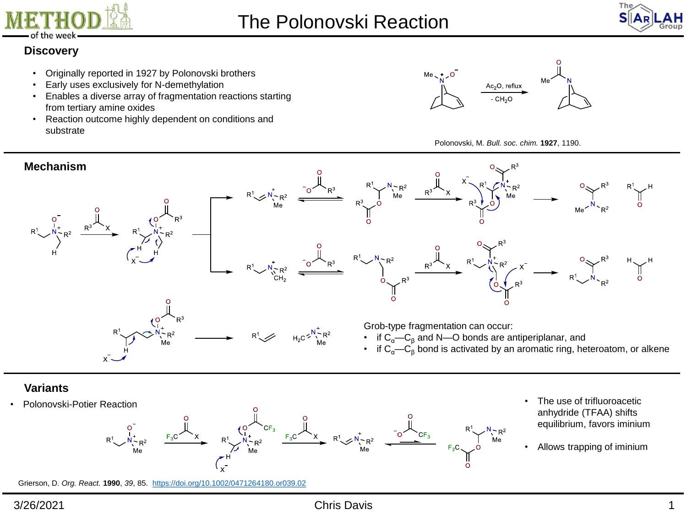



# **Discovery**

- Originally reported in 1927 by Polonovski brothers
- Early uses exclusively for N-demethylation
- Enables a diverse array of fragmentation reactions starting from tertiary amine oxides
- Reaction outcome highly dependent on conditions and substrate







# **Variants**



- anhydride (TFAA) shifts equilibrium, favors iminium
- Allows trapping of iminium

Grierson, D. *Org. React.* **1990**, *39*, 85. <https://doi.org/10.1002/0471264180.or039.02>

### 3/26/2021 Chris Davis 1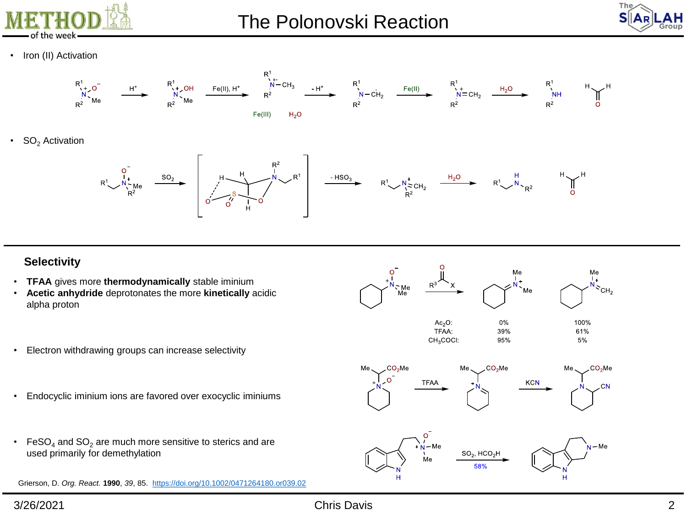



• Iron (II) Activation



 $SO<sub>2</sub>$  Activation



#### **Selectivity**

- **TFAA** gives more **thermodynamically** stable iminium
- **Acetic anhydride** deprotonates the more **kinetically** acidic alpha proton
- Electron withdrawing groups can increase selectivity
- Endocyclic iminium ions are favored over exocyclic iminiums
- FeSO<sub>4</sub> and SO<sub>2</sub> are much more sensitive to sterics and are used primarily for demethylation

Grierson, D. *Org. React.* **1990**, *39*, 85. <https://doi.org/10.1002/0471264180.or039.02>







3/26/2021 Chris Davis 2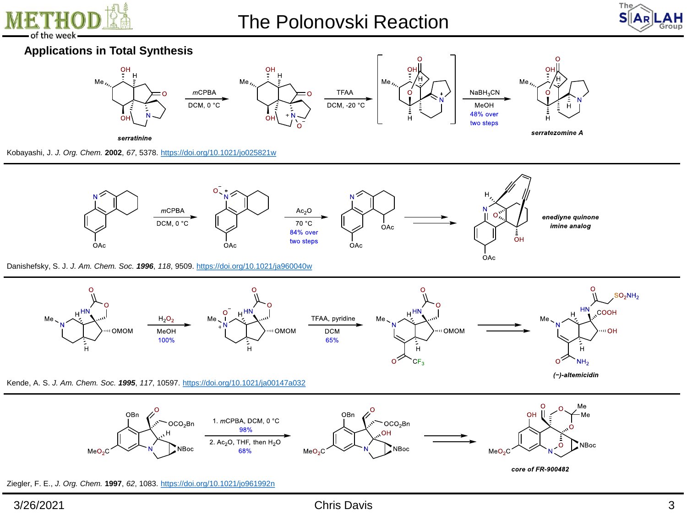

# The Polonovski Reaction



# **Applications in Total Synthesis**



Kobayashi, J. *J. Org. Chem.* **2002**, *67*, 5378.<https://doi.org/10.1021/jo025821w>



Danishefsky, S. J. *J. Am. Chem. Soc. 1996*, *118*, 9509. <https://doi.org/10.1021/ja960040w>



Kende, A. S. *J. Am. Chem. Soc. 1995*, *117*, 10597.<https://doi.org/10.1021/ja00147a032>



Ziegler, F. E., *J. Org. Chem.* **1997**, *62*, 1083.<https://doi.org/10.1021/jo961992n>

(-)-altemicidin